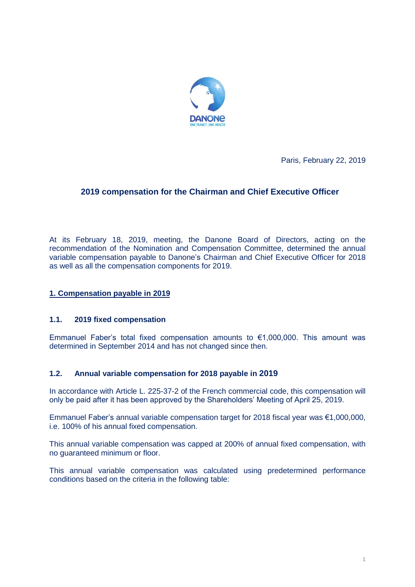

Paris, February 22, 2019

# **2019 compensation for the Chairman and Chief Executive Officer**

At its February 18, 2019, meeting, the Danone Board of Directors, acting on the recommendation of the Nomination and Compensation Committee, determined the annual variable compensation payable to Danone's Chairman and Chief Executive Officer for 2018 as well as all the compensation components for 2019.

## **1. Compensation payable in 2019**

## **1.1. 2019 fixed compensation**

Emmanuel Faber's total fixed compensation amounts to €1,000,000. This amount was determined in September 2014 and has not changed since then.

## **1.2. Annual variable compensation for 2018 payable in 2019**

In accordance with Article L. 225-37-2 of the French commercial code, this compensation will only be paid after it has been approved by the Shareholders' Meeting of April 25, 2019.

Emmanuel Faber's annual variable compensation target for 2018 fiscal year was €1,000,000, i.e. 100% of his annual fixed compensation.

This annual variable compensation was capped at 200% of annual fixed compensation, with no guaranteed minimum or floor.

This annual variable compensation was calculated using predetermined performance conditions based on the criteria in the following table: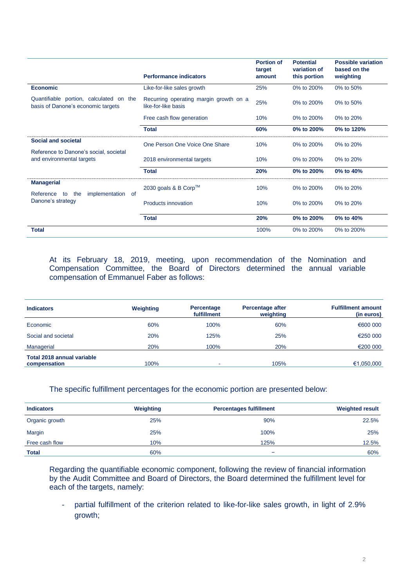|                                                                                          | <b>Performance indicators</b>                                 | <b>Portion of</b><br>target<br>amount | <b>Potential</b><br>variation of<br>this portion | <b>Possible variation</b><br>based on the<br>weighting |
|------------------------------------------------------------------------------------------|---------------------------------------------------------------|---------------------------------------|--------------------------------------------------|--------------------------------------------------------|
| <b>Economic</b>                                                                          | Like-for-like sales growth                                    | 25%                                   | 0% to 200%                                       | 0% to 50%                                              |
| Quantifiable portion, calculated on the<br>basis of Danone's economic targets            | Recurring operating margin growth on a<br>like-for-like basis | 25%                                   | 0% to 200%                                       | 0% to $50%$                                            |
|                                                                                          | Free cash flow generation                                     | 10%                                   | 0% to 200%                                       | 0% to 20%                                              |
|                                                                                          | <b>Total</b>                                                  | 60%                                   | 0% to 200%                                       | 0% to 120%                                             |
| <b>Social and societal</b>                                                               | One Person One Voice One Share                                | 10%                                   | 0% to 200%                                       | 0% to 20%                                              |
| Reference to Danone's social, societal<br>and environmental targets                      | 2018 environmental targets                                    | 10%                                   | 0% to 200%                                       | 0% to 20%                                              |
|                                                                                          | <b>Total</b>                                                  | 20%                                   | 0% to 200%                                       | 0% to 40%                                              |
| <b>Managerial</b><br>Reference<br>implementation<br>the<br>to<br>of<br>Danone's strategy | 2030 goals & B Corp™                                          | 10%                                   | 0% to 200%                                       | 0% to 20%                                              |
|                                                                                          | Products innovation                                           | 10%                                   | 0% to 200%                                       | 0% to 20%                                              |
|                                                                                          | <b>Total</b>                                                  | 20%                                   | 0% to 200%                                       | 0% to 40%                                              |
| <b>Total</b>                                                                             |                                                               | 100%                                  | 0% to 200%                                       | 0% to 200%                                             |

At its February 18, 2019, meeting, upon recommendation of the Nomination and Compensation Committee, the Board of Directors determined the annual variable compensation of Emmanuel Faber as follows:

| <b>Indicators</b>                                 | Weighting | <b>Percentage</b><br>fulfillment | <b>Percentage after</b><br>weighting | <b>Fulfillment amount</b><br>(in euros) |
|---------------------------------------------------|-----------|----------------------------------|--------------------------------------|-----------------------------------------|
| Economic                                          | 60%       | 100%                             | 60%                                  | €600 000                                |
| Social and societal                               | 20%       | 125%                             | 25%                                  | €250 000                                |
| Managerial                                        | 20%       | 100%                             | 20%                                  | €200 000                                |
| <b>Total 2018 annual variable</b><br>compensation | 100%      | ۰                                | 105%                                 | €1,050,000                              |

#### The specific fulfillment percentages for the economic portion are presented below:

| <b>Indicators</b> | Weighting | <b>Percentages fulfillment</b> | <b>Weighted result</b> |
|-------------------|-----------|--------------------------------|------------------------|
| Organic growth    | 25%       | 90%                            | 22.5%                  |
| Margin            | 25%       | 100%                           | 25%                    |
| Free cash flow    | 10%       | 125%                           | 12.5%                  |
| <b>Total</b>      | 60%       | -                              | 60%                    |

Regarding the quantifiable economic component, following the review of financial information by the Audit Committee and Board of Directors, the Board determined the fulfillment level for each of the targets, namely:

- partial fulfillment of the criterion related to like-for-like sales growth, in light of 2.9% growth;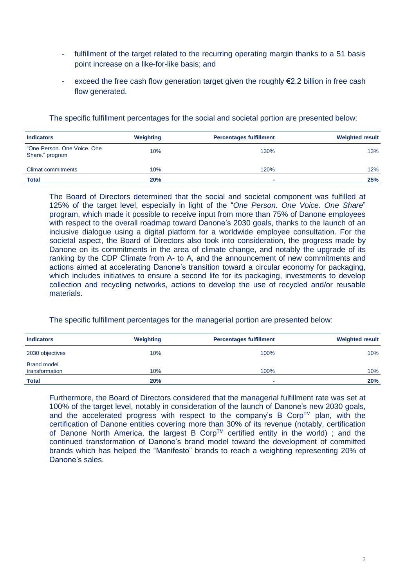- fulfillment of the target related to the recurring operating margin thanks to a 51 basis point increase on a like-for-like basis; and
- exceed the free cash flow generation target given the roughly  $E2.2$  billion in free cash flow generated.

| <b>Indicators</b>                              | Weighting | <b>Percentages fulfillment</b> | <b>Weighted result</b> |
|------------------------------------------------|-----------|--------------------------------|------------------------|
| "One Person, One Voice, One<br>Share." program | 10%       | 130%                           | 13%                    |
| Climat commitments                             | 10%       | 120%                           | 12%                    |
| <b>Total</b>                                   | 20%       |                                | 25%                    |

The specific fulfillment percentages for the social and societal portion are presented below:

The Board of Directors determined that the social and societal component was fulfilled at 125% of the target level, especially in light of the "*One Person. One Voice. One Share*" program, which made it possible to receive input from more than 75% of Danone employees with respect to the overall roadmap toward Danone's 2030 goals, thanks to the launch of an inclusive dialogue using a digital platform for a worldwide employee consultation. For the societal aspect, the Board of Directors also took into consideration, the progress made by Danone on its commitments in the area of climate change, and notably the upgrade of its ranking by the CDP Climate from A- to A, and the announcement of new commitments and actions aimed at accelerating Danone's transition toward a circular economy for packaging, which includes initiatives to ensure a second life for its packaging, investments to develop collection and recycling networks, actions to develop the use of recycled and/or reusable materials.

## The specific fulfillment percentages for the managerial portion are presented below:

| <b>Indicators</b>                    | Weighting | <b>Percentages fulfillment</b> | <b>Weighted result</b> |
|--------------------------------------|-----------|--------------------------------|------------------------|
| 2030 objectives                      | 10%       | 100%                           | 10%                    |
| <b>Brand model</b><br>transformation | 10%       | 100%                           | 10%                    |
| <b>Total</b>                         | 20%       |                                | <b>20%</b>             |

Furthermore, the Board of Directors considered that the managerial fulfillment rate was set at 100% of the target level, notably in consideration of the launch of Danone's new 2030 goals, and the accelerated progress with respect to the company's B Corp<sup>TM</sup> plan, with the certification of Danone entities covering more than 30% of its revenue (notably, certification of Danone North America, the largest B Corp™ certified entity in the world); and the continued transformation of Danone's brand model toward the development of committed brands which has helped the "Manifesto" brands to reach a weighting representing 20% of Danone's sales.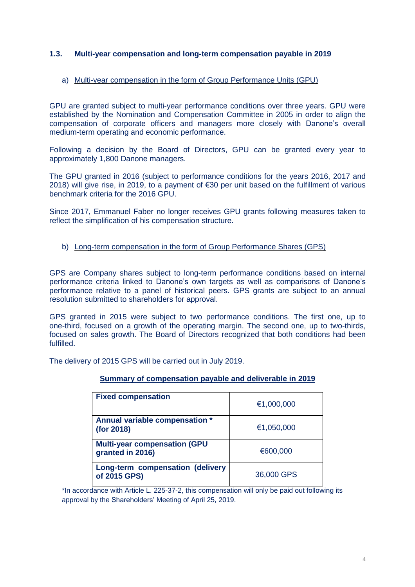## **1.3. Multi-year compensation and long-term compensation payable in 2019**

### a) Multi-year compensation in the form of Group Performance Units (GPU)

GPU are granted subject to multi-year performance conditions over three years. GPU were established by the Nomination and Compensation Committee in 2005 in order to align the compensation of corporate officers and managers more closely with Danone's overall medium-term operating and economic performance.

Following a decision by the Board of Directors, GPU can be granted every year to approximately 1,800 Danone managers.

The GPU granted in 2016 (subject to performance conditions for the years 2016, 2017 and 2018) will give rise, in 2019, to a payment of €30 per unit based on the fulfillment of various benchmark criteria for the 2016 GPU.

Since 2017, Emmanuel Faber no longer receives GPU grants following measures taken to reflect the simplification of his compensation structure.

#### b) Long-term compensation in the form of Group Performance Shares (GPS)

GPS are Company shares subject to long-term performance conditions based on internal performance criteria linked to Danone's own targets as well as comparisons of Danone's performance relative to a panel of historical peers. GPS grants are subject to an annual resolution submitted to shareholders for approval.

GPS granted in 2015 were subject to two performance conditions. The first one, up to one-third, focused on a growth of the operating margin. The second one, up to two-thirds, focused on sales growth. The Board of Directors recognized that both conditions had been fulfilled.

The delivery of 2015 GPS will be carried out in July 2019.

## **Summary of compensation payable and deliverable in 2019**

| <b>Fixed compensation</b>                               | €1,000,000 |
|---------------------------------------------------------|------------|
| Annual variable compensation *<br>(for 2018)            | €1,050,000 |
| <b>Multi-year compensation (GPU</b><br>granted in 2016) | €600,000   |
| Long-term compensation (delivery<br>of 2015 GPS)        | 36,000 GPS |

\*In accordance with Article L. 225-37-2, this compensation will only be paid out following its approval by the Shareholders' Meeting of April 25, 2019.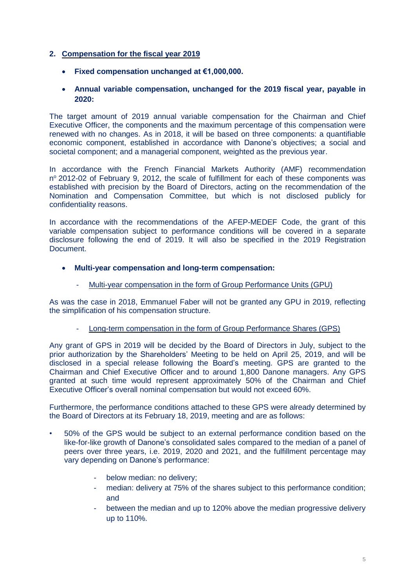## **2. Compensation for the fiscal year 2019**

- **Fixed compensation unchanged at €1,000,000.**
- **Annual variable compensation, unchanged for the 2019 fiscal year, payable in 2020:**

The target amount of 2019 annual variable compensation for the Chairman and Chief Executive Officer, the components and the maximum percentage of this compensation were renewed with no changes. As in 2018, it will be based on three components: a quantifiable economic component, established in accordance with Danone's objectives; a social and societal component; and a managerial component, weighted as the previous year.

In accordance with the French Financial Markets Authority (AMF) recommendation nº 2012-02 of February 9, 2012, the scale of fulfillment for each of these components was established with precision by the Board of Directors, acting on the recommendation of the Nomination and Compensation Committee, but which is not disclosed publicly for confidentiality reasons.

In accordance with the recommendations of the AFEP-MEDEF Code, the grant of this variable compensation subject to performance conditions will be covered in a separate disclosure following the end of 2019. It will also be specified in the 2019 Registration Document.

## • **Multi-year compensation and long-term compensation:**

Multi-year compensation in the form of Group Performance Units (GPU)

As was the case in 2018, Emmanuel Faber will not be granted any GPU in 2019, reflecting the simplification of his compensation structure.

## Long-term compensation in the form of Group Performance Shares (GPS)

Any grant of GPS in 2019 will be decided by the Board of Directors in July, subject to the prior authorization by the Shareholders' Meeting to be held on April 25, 2019, and will be disclosed in a special release following the Board's meeting. GPS are granted to the Chairman and Chief Executive Officer and to around 1,800 Danone managers. Any GPS granted at such time would represent approximately 50% of the Chairman and Chief Executive Officer's overall nominal compensation but would not exceed 60%.

Furthermore, the performance conditions attached to these GPS were already determined by the Board of Directors at its February 18, 2019, meeting and are as follows:

- 50% of the GPS would be subject to an external performance condition based on the like-for-like growth of Danone's consolidated sales compared to the median of a panel of peers over three years, i.e. 2019, 2020 and 2021, and the fulfillment percentage may vary depending on Danone's performance:
	- below median: no delivery;
	- median: delivery at 75% of the shares subject to this performance condition; and
	- between the median and up to 120% above the median progressive delivery up to 110%.